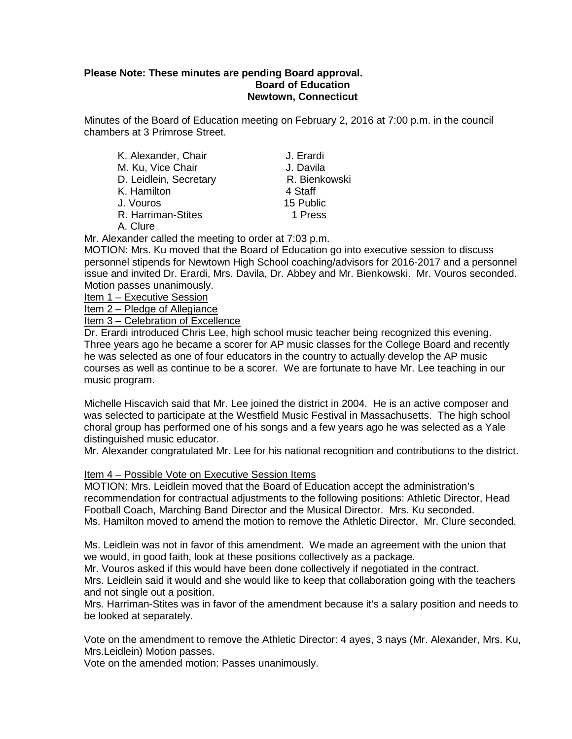### **Please Note: These minutes are pending Board approval. Board of Education Newtown, Connecticut**

Minutes of the Board of Education meeting on February 2, 2016 at 7:00 p.m. in the council chambers at 3 Primrose Street.

| K. Alexander, Chair    | J. Erardi     |  |
|------------------------|---------------|--|
| M. Ku, Vice Chair      | J. Davila     |  |
| D. Leidlein, Secretary | R. Bienkowski |  |
| K. Hamilton            | 4 Staff       |  |
| J. Vouros              | 15 Public     |  |
| R. Harriman-Stites     | 1 Press       |  |
| $\Lambda$ Cluro        |               |  |

A. Clure

Mr. Alexander called the meeting to order at 7:03 p.m.

MOTION: Mrs. Ku moved that the Board of Education go into executive session to discuss personnel stipends for Newtown High School coaching/advisors for 2016-2017 and a personnel issue and invited Dr. Erardi, Mrs. Davila, Dr. Abbey and Mr. Bienkowski. Mr. Vouros seconded. Motion passes unanimously.

Item 1 – Executive Session

Item 2 – Pledge of Allegiance

Item 3 – Celebration of Excellence

Dr. Erardi introduced Chris Lee, high school music teacher being recognized this evening. Three years ago he became a scorer for AP music classes for the College Board and recently he was selected as one of four educators in the country to actually develop the AP music courses as well as continue to be a scorer. We are fortunate to have Mr. Lee teaching in our music program.

Michelle Hiscavich said that Mr. Lee joined the district in 2004. He is an active composer and was selected to participate at the Westfield Music Festival in Massachusetts. The high school choral group has performed one of his songs and a few years ago he was selected as a Yale distinguished music educator.

Mr. Alexander congratulated Mr. Lee for his national recognition and contributions to the district.

### Item 4 – Possible Vote on Executive Session Items

MOTION: Mrs. Leidlein moved that the Board of Education accept the administration's recommendation for contractual adjustments to the following positions: Athletic Director, Head Football Coach, Marching Band Director and the Musical Director. Mrs. Ku seconded. Ms. Hamilton moved to amend the motion to remove the Athletic Director. Mr. Clure seconded.

Ms. Leidlein was not in favor of this amendment. We made an agreement with the union that we would, in good faith, look at these positions collectively as a package.

Mr. Vouros asked if this would have been done collectively if negotiated in the contract.

Mrs. Leidlein said it would and she would like to keep that collaboration going with the teachers and not single out a position.

Mrs. Harriman-Stites was in favor of the amendment because it's a salary position and needs to be looked at separately.

Vote on the amendment to remove the Athletic Director: 4 ayes, 3 nays (Mr. Alexander, Mrs. Ku, Mrs.Leidlein) Motion passes.

Vote on the amended motion: Passes unanimously.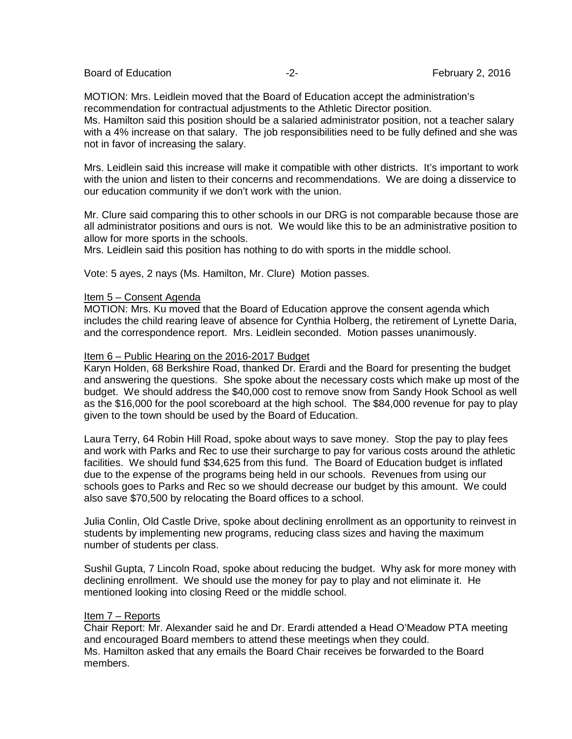| <b>Board of Education</b> |  |
|---------------------------|--|
|---------------------------|--|

MOTION: Mrs. Leidlein moved that the Board of Education accept the administration's recommendation for contractual adjustments to the Athletic Director position. Ms. Hamilton said this position should be a salaried administrator position, not a teacher salary

with a 4% increase on that salary. The job responsibilities need to be fully defined and she was not in favor of increasing the salary.

Mrs. Leidlein said this increase will make it compatible with other districts. It's important to work with the union and listen to their concerns and recommendations. We are doing a disservice to our education community if we don't work with the union.

Mr. Clure said comparing this to other schools in our DRG is not comparable because those are all administrator positions and ours is not. We would like this to be an administrative position to allow for more sports in the schools.

Mrs. Leidlein said this position has nothing to do with sports in the middle school.

Vote: 5 ayes, 2 nays (Ms. Hamilton, Mr. Clure) Motion passes.

### Item 5 – Consent Agenda

MOTION: Mrs. Ku moved that the Board of Education approve the consent agenda which includes the child rearing leave of absence for Cynthia Holberg, the retirement of Lynette Daria, and the correspondence report. Mrs. Leidlein seconded. Motion passes unanimously.

### Item 6 – Public Hearing on the 2016-2017 Budget

Karyn Holden, 68 Berkshire Road, thanked Dr. Erardi and the Board for presenting the budget and answering the questions. She spoke about the necessary costs which make up most of the budget. We should address the \$40,000 cost to remove snow from Sandy Hook School as well as the \$16,000 for the pool scoreboard at the high school. The \$84,000 revenue for pay to play given to the town should be used by the Board of Education.

Laura Terry, 64 Robin Hill Road, spoke about ways to save money. Stop the pay to play fees and work with Parks and Rec to use their surcharge to pay for various costs around the athletic facilities. We should fund \$34,625 from this fund. The Board of Education budget is inflated due to the expense of the programs being held in our schools. Revenues from using our schools goes to Parks and Rec so we should decrease our budget by this amount. We could also save \$70,500 by relocating the Board offices to a school.

Julia Conlin, Old Castle Drive, spoke about declining enrollment as an opportunity to reinvest in students by implementing new programs, reducing class sizes and having the maximum number of students per class.

Sushil Gupta, 7 Lincoln Road, spoke about reducing the budget. Why ask for more money with declining enrollment. We should use the money for pay to play and not eliminate it. He mentioned looking into closing Reed or the middle school.

## Item 7 – Reports

Chair Report: Mr. Alexander said he and Dr. Erardi attended a Head O'Meadow PTA meeting and encouraged Board members to attend these meetings when they could. Ms. Hamilton asked that any emails the Board Chair receives be forwarded to the Board members.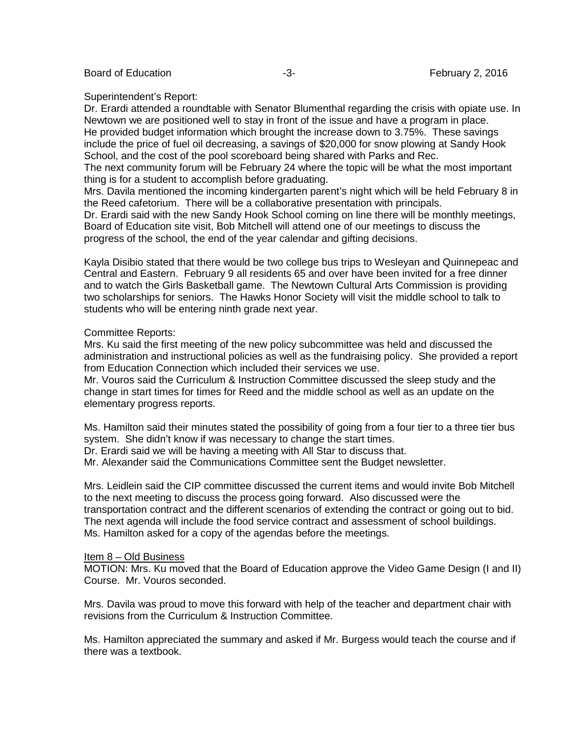Board of Education **-3-** February 2, 2016

### Superintendent's Report:

Dr. Erardi attended a roundtable with Senator Blumenthal regarding the crisis with opiate use. In Newtown we are positioned well to stay in front of the issue and have a program in place. He provided budget information which brought the increase down to 3.75%. These savings include the price of fuel oil decreasing, a savings of \$20,000 for snow plowing at Sandy Hook School, and the cost of the pool scoreboard being shared with Parks and Rec.

The next community forum will be February 24 where the topic will be what the most important thing is for a student to accomplish before graduating.

Mrs. Davila mentioned the incoming kindergarten parent's night which will be held February 8 in the Reed cafetorium. There will be a collaborative presentation with principals.

Dr. Erardi said with the new Sandy Hook School coming on line there will be monthly meetings, Board of Education site visit, Bob Mitchell will attend one of our meetings to discuss the progress of the school, the end of the year calendar and gifting decisions.

Kayla Disibio stated that there would be two college bus trips to Wesleyan and Quinnepeac and Central and Eastern. February 9 all residents 65 and over have been invited for a free dinner and to watch the Girls Basketball game. The Newtown Cultural Arts Commission is providing two scholarships for seniors. The Hawks Honor Society will visit the middle school to talk to students who will be entering ninth grade next year.

### Committee Reports:

Mrs. Ku said the first meeting of the new policy subcommittee was held and discussed the administration and instructional policies as well as the fundraising policy. She provided a report from Education Connection which included their services we use.

Mr. Vouros said the Curriculum & Instruction Committee discussed the sleep study and the change in start times for times for Reed and the middle school as well as an update on the elementary progress reports.

Ms. Hamilton said their minutes stated the possibility of going from a four tier to a three tier bus system. She didn't know if was necessary to change the start times.

Dr. Erardi said we will be having a meeting with All Star to discuss that.

Mr. Alexander said the Communications Committee sent the Budget newsletter.

Mrs. Leidlein said the CIP committee discussed the current items and would invite Bob Mitchell to the next meeting to discuss the process going forward. Also discussed were the transportation contract and the different scenarios of extending the contract or going out to bid. The next agenda will include the food service contract and assessment of school buildings. Ms. Hamilton asked for a copy of the agendas before the meetings.

### Item 8 – Old Business

MOTION: Mrs. Ku moved that the Board of Education approve the Video Game Design (I and II) Course. Mr. Vouros seconded.

Mrs. Davila was proud to move this forward with help of the teacher and department chair with revisions from the Curriculum & Instruction Committee.

Ms. Hamilton appreciated the summary and asked if Mr. Burgess would teach the course and if there was a textbook.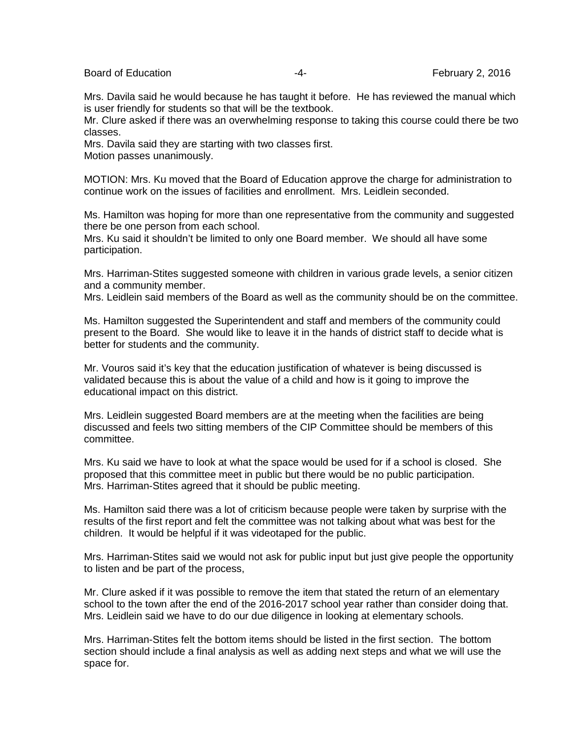Board of Education **Example 2, 2016 February 2, 2016** 

Mrs. Davila said he would because he has taught it before. He has reviewed the manual which is user friendly for students so that will be the textbook.

Mr. Clure asked if there was an overwhelming response to taking this course could there be two classes.

Mrs. Davila said they are starting with two classes first. Motion passes unanimously.

MOTION: Mrs. Ku moved that the Board of Education approve the charge for administration to continue work on the issues of facilities and enrollment. Mrs. Leidlein seconded.

Ms. Hamilton was hoping for more than one representative from the community and suggested there be one person from each school.

Mrs. Ku said it shouldn't be limited to only one Board member. We should all have some participation.

Mrs. Harriman-Stites suggested someone with children in various grade levels, a senior citizen and a community member.

Mrs. Leidlein said members of the Board as well as the community should be on the committee.

Ms. Hamilton suggested the Superintendent and staff and members of the community could present to the Board. She would like to leave it in the hands of district staff to decide what is better for students and the community.

Mr. Vouros said it's key that the education justification of whatever is being discussed is validated because this is about the value of a child and how is it going to improve the educational impact on this district.

Mrs. Leidlein suggested Board members are at the meeting when the facilities are being discussed and feels two sitting members of the CIP Committee should be members of this committee.

Mrs. Ku said we have to look at what the space would be used for if a school is closed. She proposed that this committee meet in public but there would be no public participation. Mrs. Harriman-Stites agreed that it should be public meeting.

Ms. Hamilton said there was a lot of criticism because people were taken by surprise with the results of the first report and felt the committee was not talking about what was best for the children. It would be helpful if it was videotaped for the public.

Mrs. Harriman-Stites said we would not ask for public input but just give people the opportunity to listen and be part of the process,

Mr. Clure asked if it was possible to remove the item that stated the return of an elementary school to the town after the end of the 2016-2017 school year rather than consider doing that. Mrs. Leidlein said we have to do our due diligence in looking at elementary schools.

Mrs. Harriman-Stites felt the bottom items should be listed in the first section. The bottom section should include a final analysis as well as adding next steps and what we will use the space for.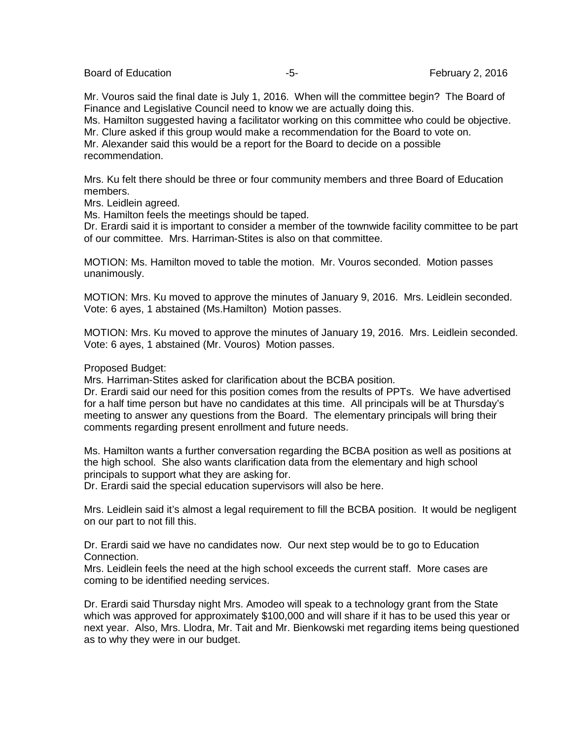Board of Education **Francisco Contract Contract Contract Contract Contract Contract Contract Contract Contract Contract Contract Contract Contract Contract Contract Contract Contract Contract Contract Contract Contract Con** 

Mr. Vouros said the final date is July 1, 2016. When will the committee begin? The Board of Finance and Legislative Council need to know we are actually doing this.

Ms. Hamilton suggested having a facilitator working on this committee who could be objective. Mr. Clure asked if this group would make a recommendation for the Board to vote on.

Mr. Alexander said this would be a report for the Board to decide on a possible recommendation.

Mrs. Ku felt there should be three or four community members and three Board of Education members.

Mrs. Leidlein agreed.

Ms. Hamilton feels the meetings should be taped.

Dr. Erardi said it is important to consider a member of the townwide facility committee to be part of our committee. Mrs. Harriman-Stites is also on that committee.

MOTION: Ms. Hamilton moved to table the motion. Mr. Vouros seconded. Motion passes unanimously.

MOTION: Mrs. Ku moved to approve the minutes of January 9, 2016. Mrs. Leidlein seconded. Vote: 6 ayes, 1 abstained (Ms.Hamilton) Motion passes.

MOTION: Mrs. Ku moved to approve the minutes of January 19, 2016. Mrs. Leidlein seconded. Vote: 6 ayes, 1 abstained (Mr. Vouros) Motion passes.

Proposed Budget:

Mrs. Harriman-Stites asked for clarification about the BCBA position.

Dr. Erardi said our need for this position comes from the results of PPTs. We have advertised for a half time person but have no candidates at this time. All principals will be at Thursday's meeting to answer any questions from the Board. The elementary principals will bring their comments regarding present enrollment and future needs.

Ms. Hamilton wants a further conversation regarding the BCBA position as well as positions at the high school. She also wants clarification data from the elementary and high school principals to support what they are asking for.

Dr. Erardi said the special education supervisors will also be here.

Mrs. Leidlein said it's almost a legal requirement to fill the BCBA position. It would be negligent on our part to not fill this.

Dr. Erardi said we have no candidates now. Our next step would be to go to Education Connection.

Mrs. Leidlein feels the need at the high school exceeds the current staff. More cases are coming to be identified needing services.

Dr. Erardi said Thursday night Mrs. Amodeo will speak to a technology grant from the State which was approved for approximately \$100,000 and will share if it has to be used this year or next year. Also, Mrs. Llodra, Mr. Tait and Mr. Bienkowski met regarding items being questioned as to why they were in our budget.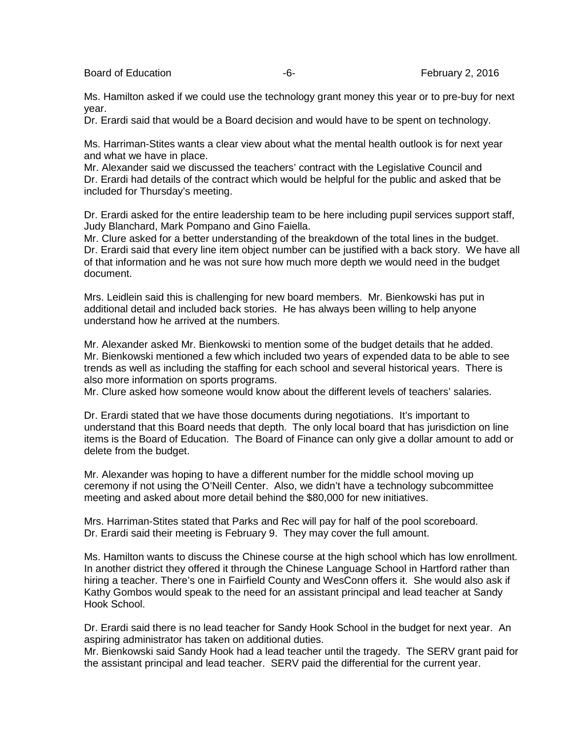Board of Education **Francisco Community** Control Control of Education **February 2, 2016** 

Ms. Hamilton asked if we could use the technology grant money this year or to pre-buy for next year.

Dr. Erardi said that would be a Board decision and would have to be spent on technology.

Ms. Harriman-Stites wants a clear view about what the mental health outlook is for next year and what we have in place.

Mr. Alexander said we discussed the teachers' contract with the Legislative Council and Dr. Erardi had details of the contract which would be helpful for the public and asked that be included for Thursday's meeting.

Dr. Erardi asked for the entire leadership team to be here including pupil services support staff, Judy Blanchard, Mark Pompano and Gino Faiella.

Mr. Clure asked for a better understanding of the breakdown of the total lines in the budget. Dr. Erardi said that every line item object number can be justified with a back story. We have all of that information and he was not sure how much more depth we would need in the budget document.

Mrs. Leidlein said this is challenging for new board members. Mr. Bienkowski has put in additional detail and included back stories. He has always been willing to help anyone understand how he arrived at the numbers.

Mr. Alexander asked Mr. Bienkowski to mention some of the budget details that he added. Mr. Bienkowski mentioned a few which included two years of expended data to be able to see trends as well as including the staffing for each school and several historical years. There is also more information on sports programs.

Mr. Clure asked how someone would know about the different levels of teachers' salaries.

Dr. Erardi stated that we have those documents during negotiations. It's important to understand that this Board needs that depth. The only local board that has jurisdiction on line items is the Board of Education. The Board of Finance can only give a dollar amount to add or delete from the budget.

Mr. Alexander was hoping to have a different number for the middle school moving up ceremony if not using the O'Neill Center. Also, we didn't have a technology subcommittee meeting and asked about more detail behind the \$80,000 for new initiatives.

Mrs. Harriman-Stites stated that Parks and Rec will pay for half of the pool scoreboard. Dr. Erardi said their meeting is February 9. They may cover the full amount.

Ms. Hamilton wants to discuss the Chinese course at the high school which has low enrollment. In another district they offered it through the Chinese Language School in Hartford rather than hiring a teacher. There's one in Fairfield County and WesConn offers it. She would also ask if Kathy Gombos would speak to the need for an assistant principal and lead teacher at Sandy Hook School.

Dr. Erardi said there is no lead teacher for Sandy Hook School in the budget for next year. An aspiring administrator has taken on additional duties.

Mr. Bienkowski said Sandy Hook had a lead teacher until the tragedy. The SERV grant paid for the assistant principal and lead teacher. SERV paid the differential for the current year.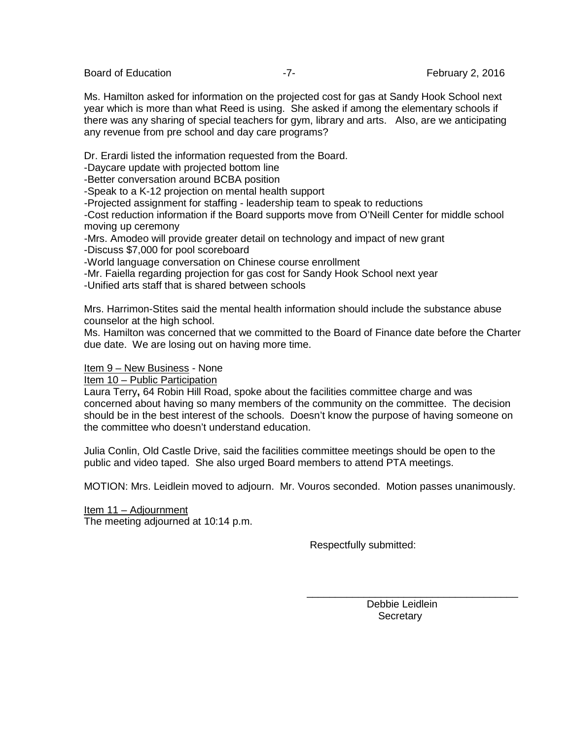Board of Education **Francisco Community** 2, 2016 **February 2**, 2016

Ms. Hamilton asked for information on the projected cost for gas at Sandy Hook School next year which is more than what Reed is using. She asked if among the elementary schools if there was any sharing of special teachers for gym, library and arts. Also, are we anticipating any revenue from pre school and day care programs?

Dr. Erardi listed the information requested from the Board.

-Daycare update with projected bottom line

-Better conversation around BCBA position

-Speak to a K-12 projection on mental health support

-Projected assignment for staffing - leadership team to speak to reductions

-Cost reduction information if the Board supports move from O'Neill Center for middle school moving up ceremony

-Mrs. Amodeo will provide greater detail on technology and impact of new grant

-Discuss \$7,000 for pool scoreboard

-World language conversation on Chinese course enrollment

-Mr. Faiella regarding projection for gas cost for Sandy Hook School next year

-Unified arts staff that is shared between schools

Mrs. Harrimon-Stites said the mental health information should include the substance abuse counselor at the high school.

Ms. Hamilton was concerned that we committed to the Board of Finance date before the Charter due date. We are losing out on having more time.

Item 9 – New Business - None

Item 10 – Public Participation

Laura Terry**,** 64 Robin Hill Road, spoke about the facilities committee charge and was concerned about having so many members of the community on the committee. The decision should be in the best interest of the schools. Doesn't know the purpose of having someone on the committee who doesn't understand education.

Julia Conlin, Old Castle Drive, said the facilities committee meetings should be open to the public and video taped. She also urged Board members to attend PTA meetings.

MOTION: Mrs. Leidlein moved to adjourn. Mr. Vouros seconded. Motion passes unanimously.

 $\overline{\phantom{a}}$  , and the contract of the contract of the contract of the contract of the contract of the contract of the contract of the contract of the contract of the contract of the contract of the contract of the contrac

Item 11 – Adjournment The meeting adjourned at 10:14 p.m.

Respectfully submitted:

 Debbie Leidlein **Secretary**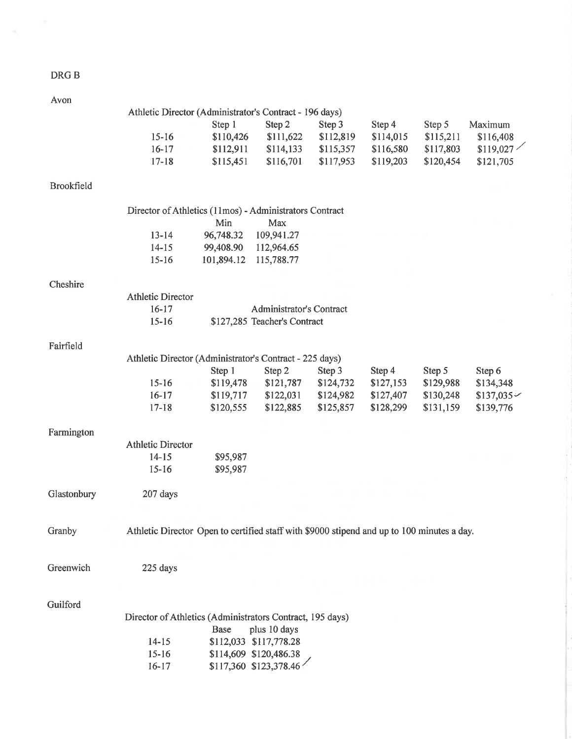## DRG B

| Avon              |                                                         |            |                          |           |           |
|-------------------|---------------------------------------------------------|------------|--------------------------|-----------|-----------|
|                   | Athletic Director (Administrator's Contract - 196 days) |            |                          |           |           |
|                   |                                                         | Step 1     | Step 2                   | Step 3    | Step 4    |
|                   | $15 - 16$                                               | \$110,426  | \$111,622                | \$112,819 | \$114,015 |
|                   | $16 - 17$                                               | \$112,911  | \$114,133                | \$115,357 | \$116,580 |
|                   | $17 - 18$                                               | \$115,451  | \$116,701                | \$117,953 | \$119,203 |
| <b>Brookfield</b> |                                                         |            |                          |           |           |
|                   | Director of Athletics (11mos) - Administrators Contract |            |                          |           |           |
|                   |                                                         | Min        | Max                      |           |           |
|                   | $13 - 14$                                               | 96,748.32  | 109,941.27               |           |           |
|                   | $14 - 15$                                               | 99,408.90  | 112,964.65               |           |           |
|                   | $15 - 16$                                               | 101,894.12 | 115,788.77               |           |           |
|                   |                                                         |            |                          |           |           |
| Cheshire          |                                                         |            |                          |           |           |
|                   | <b>Athletic Director</b>                                |            |                          |           |           |
|                   | $16 - 17$                                               |            | Administrator's Contract |           |           |

| r | Tie | ่ก |
|---|-----|----|

| Athletic Director (Administrator's Contract - 225 days) |           |           |           |           |           |                 |
|---------------------------------------------------------|-----------|-----------|-----------|-----------|-----------|-----------------|
|                                                         | Step 1    | Step 2    | Step 3    | Step 4    | Step 5    | Step 6          |
| $15 - 16$                                               | \$119,478 | \$121,787 | \$124,732 | \$127,153 | \$129,988 | \$134,348       |
| $16 - 17$                                               | \$119,717 | \$122,031 | \$124,982 | \$127,407 | \$130,248 | $$137,035 \sim$ |
| $17 - 18$                                               | \$120,555 | \$122,885 | \$125,857 | \$128,299 | \$131,159 | \$139,776       |
|                                                         |           |           |           |           |           |                 |

\$127,285 Teacher's Contract

| Farmington |                   |          |
|------------|-------------------|----------|
|            | Athletic Director |          |
|            | $14 - 15$         | \$95,987 |
|            | $15 - 16$         | \$95,987 |

 $15 - 16$ 

Glastonbury 207 days

Granby

Athletic Director Open to certified staff with \$9000 stipend and up to 100 minutes a day.

Step 5

\$115,211

\$117,803

\$120,454

Maximum

\$116,408

\$121,705

 $$119,027$ 

225 days Greenwich

Guilford

| Director of Athletics (Administrators Contract, 195 days) |  |                                                  |  |  |  |  |
|-----------------------------------------------------------|--|--------------------------------------------------|--|--|--|--|
|                                                           |  | Base plus 10 days                                |  |  |  |  |
| $14 - 15$                                                 |  | \$112,033 \$117,778.28                           |  |  |  |  |
| $15 - 16$                                                 |  |                                                  |  |  |  |  |
| $16-17$                                                   |  | \$114,609 \$120,486.38<br>\$117,360 \$123,378.46 |  |  |  |  |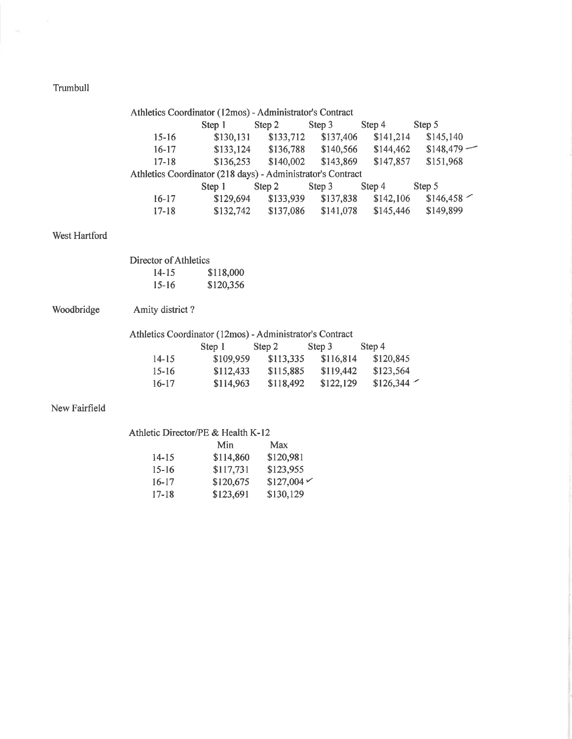## Trumbull

|               | Athletics Coordinator (12mos) - Administrator's Contract    |           |                                         |           |                       |              |
|---------------|-------------------------------------------------------------|-----------|-----------------------------------------|-----------|-----------------------|--------------|
|               |                                                             | Step 1    | Step 2                                  | Step 3    | Step 4                | Step 5       |
|               | $15 - 16$                                                   |           | $$130,131$ $$133,712$                   | \$137,406 | \$141,214             | \$145,140    |
|               | $16 - 17$                                                   |           | $$133,124$ $$136,788$ $$140,566$        |           | \$144,462             | $$148,479$ – |
|               | $17 - 18$                                                   |           | $$136,253$ $$140,002$                   | \$143,869 | \$147,857             | \$151,968    |
|               | Athletics Coordinator (218 days) - Administrator's Contract |           |                                         |           |                       |              |
|               |                                                             | Step 1    | Step 2 Step 3                           |           | Step 4 Step 5         |              |
|               | $16-17$                                                     |           | $$129,694$ $$133,939$                   |           | $$137,838$ $$142,106$ | \$146,458    |
|               | $17 - 18$                                                   |           | \$132,742 \$137,086 \$141,078 \$145,446 |           |                       | \$149,899    |
| West Hartford |                                                             |           |                                         |           |                       |              |
|               | Director of Athletics                                       |           |                                         |           |                       |              |
|               | $14 - 15$                                                   | \$118,000 |                                         |           |                       |              |
|               | $15-16$                                                     | \$120,356 |                                         |           |                       |              |
| Woodbridge    | Amity district?                                             |           |                                         |           |                       |              |
|               | Athletics Coordinator (12mos) - Administrator's Contract    |           |                                         |           |                       |              |
|               |                                                             | Step 1    | Step 2                                  | Step 3    | Step 4                |              |
|               | $14 - 15$                                                   |           | $$109,959$ $$113,335$                   | \$116,814 | \$120,845             |              |
|               | $15 - 16$                                                   |           | \$112,433 \$115,885 \$119,442           |           | \$123,564             |              |
|               | $16-17$                                                     |           | $$114,963$ $$118,492$ $$122,129$        |           | $$126,344$ $\sim$     |              |
| New Fairfield |                                                             |           |                                         |           |                       |              |

## Athletic Director/PE & Health K-12

|           | Min       | Max                  |
|-----------|-----------|----------------------|
| $14 - 15$ | \$114,860 | \$120,981            |
| $15 - 16$ | \$117,731 | \$123,955            |
| $16 - 17$ | \$120,675 | $$127,004 \check{~}$ |
| $17 - 18$ | \$123,691 | \$130,129            |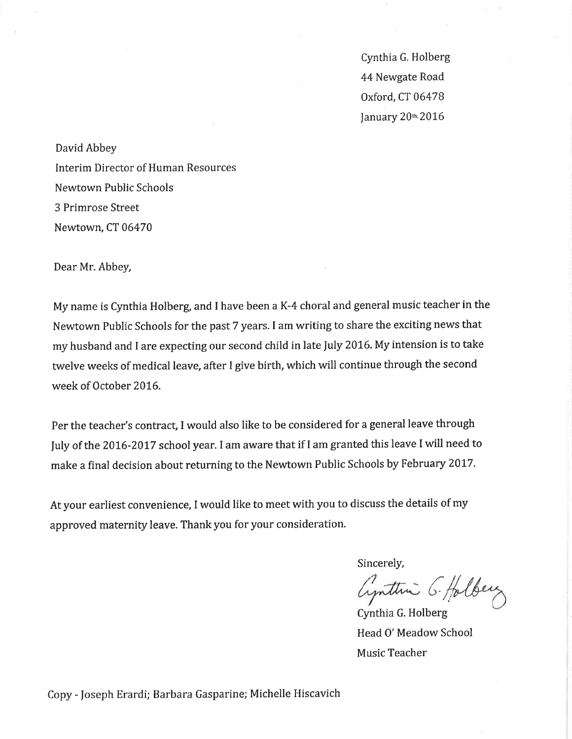Cynthia G. Holberg 44 Newgate Road Oxford, CT 06478 January 20th 2016

David Abbey Interim Director of Human Resources Newtown Public Schools 3 Primrose Street Newtown, CT 06470

Dear Mr. Abbey,

My name is Cynthia Holberg, and I have been a K-4 choral and general music teacher in the Newtown Public Schools for the past 7 years. I am writing to share the exciting news that my husband and I are expecting our second child in late July 2016. My intension is to take twelve weeks of medical leave, after I give birth, which will continue through the second week of October 2016.

Per the teacher's contract, I would also like to be considered for a general leave through July of the 2016-2017 school year. I am aware that if I am granted this leave I will need to make a final decision about returning to the Newtown Public Schools by February 2017.

At your earliest convenience, I would like to meet with you to discuss the details of my approved maternity leave. Thank you for your consideration.

Sincerely,

Cynthia G. Holberg

Cynthia G. Holberg Head O' Meadow School Music Teacher

Copy - Joseph Erardi; Barbara Gasparine; Michelle Hiscavich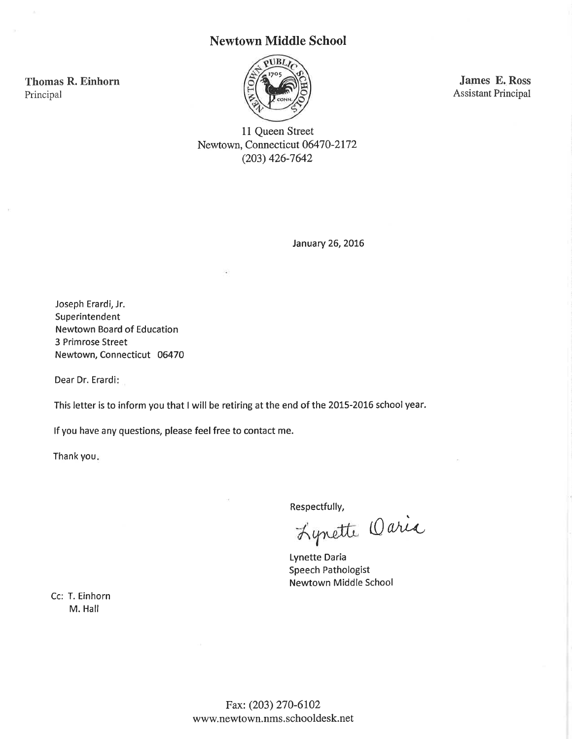## **Newtown Middle School**



James E. Ross **Assistant Principal** 

11 Queen Street Newtown, Connecticut 06470-2172  $(203)$  426-7642

January 26, 2016

Joseph Erardi, Jr. Superintendent **Newtown Board of Education** 3 Primrose Street Newtown, Connecticut 06470

Dear Dr. Erardi:

**Thomas R. Einhorn** 

Principal

This letter is to inform you that I will be retiring at the end of the 2015-2016 school year.

If you have any questions, please feel free to contact me.

Thank you.

Respectfully,

Lynette Oaria

**Lynette Daria** Speech Pathologist **Newtown Middle School** 

Cc: T. Einhorn M. Hall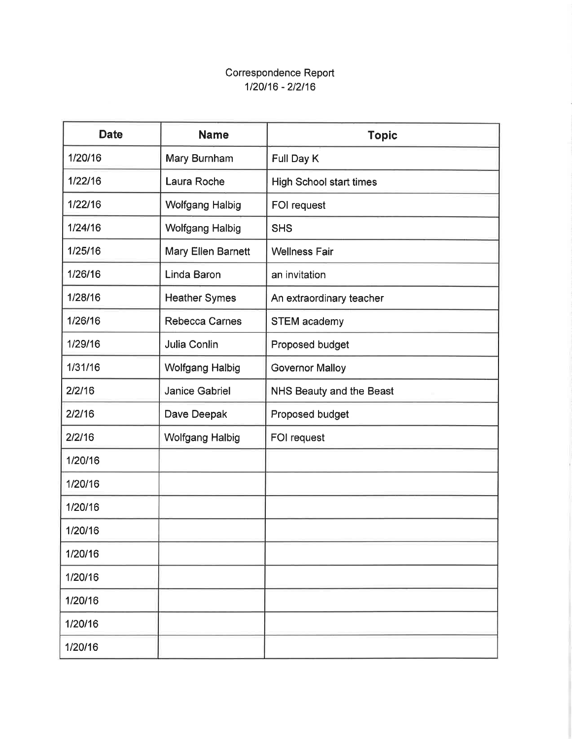# Correspondence Report 1/20/16 - 2/2/16

| <b>Date</b> | <b>Name</b>            | <b>Topic</b>                   |
|-------------|------------------------|--------------------------------|
| 1/20/16     | Mary Burnham           | Full Day K                     |
| 1/22/16     | Laura Roche            | <b>High School start times</b> |
| 1/22/16     | <b>Wolfgang Halbig</b> | FOI request                    |
| 1/24/16     | <b>Wolfgang Halbig</b> | <b>SHS</b>                     |
| 1/25/16     | Mary Ellen Barnett     | <b>Wellness Fair</b>           |
| 1/26/16     | Linda Baron            | an invitation                  |
| 1/28/16     | <b>Heather Symes</b>   | An extraordinary teacher       |
| 1/26/16     | <b>Rebecca Carnes</b>  | <b>STEM academy</b>            |
| 1/29/16     | Julia Conlin           | Proposed budget                |
| 1/31/16     | <b>Wolfgang Halbig</b> | <b>Governor Malloy</b>         |
| 2/2/16      | <b>Janice Gabriel</b>  | NHS Beauty and the Beast       |
| 2/2/16      | Dave Deepak            | Proposed budget                |
| 2/2/16      | <b>Wolfgang Halbig</b> | FOI request                    |
| 1/20/16     |                        |                                |
| 1/20/16     |                        |                                |
| 1/20/16     |                        |                                |
| 1/20/16     |                        |                                |
| 1/20/16     |                        |                                |
| 1/20/16     |                        |                                |
| 1/20/16     |                        |                                |
| 1/20/16     |                        |                                |
| 1/20/16     |                        |                                |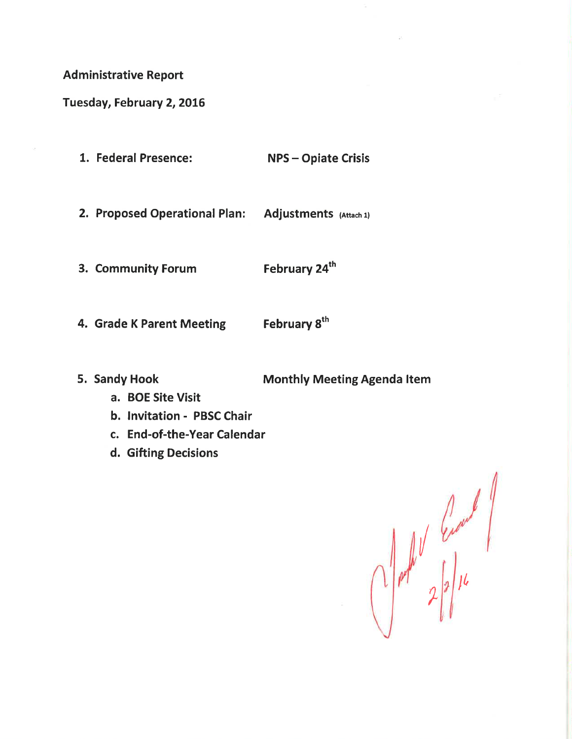**Administrative Report** 

Tuesday, February 2, 2016

| 1. Federal Presence:          | <b>NPS-Opiate Crisis</b> |
|-------------------------------|--------------------------|
| 2. Proposed Operational Plan: | Adjustments (Attach 1)   |
| 3. Community Forum            | February 24th            |

- February 8<sup>th</sup> 4. Grade K Parent Meeting
- 5. Sandy Hook

**Monthly Meeting Agenda Item** 

- a. BOE Site Visit
- b. Invitation PBSC Chair
- c. End-of-the-Year Calendar
- d. Gifting Decisions

 $\int_0^1 \int_0^1 e^{2\pi i t} dt \, dt$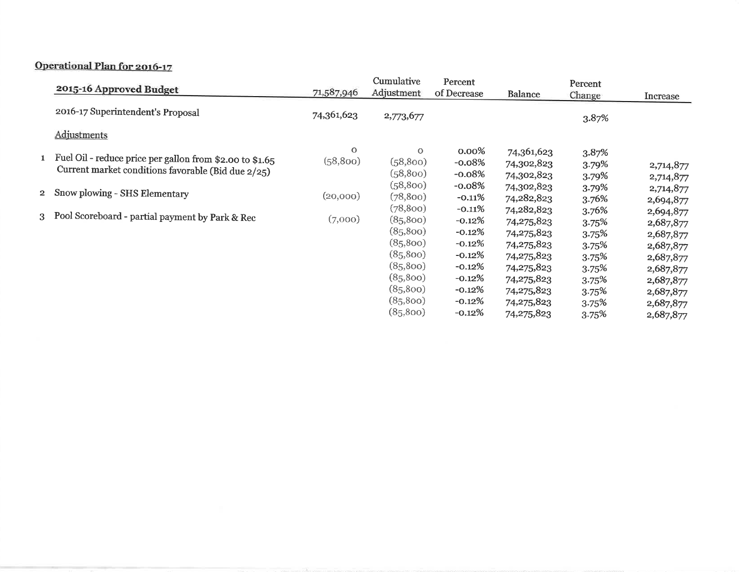# Operational Plan for 2016-17

| 2015-16 Approved Budget                                                                                          | 71,587,946          | Cumulative<br>Adjustment                                  | Percent<br>of Decrease                                        | Balance                                                            | Percent<br>Change                         | Increase                                                      |
|------------------------------------------------------------------------------------------------------------------|---------------------|-----------------------------------------------------------|---------------------------------------------------------------|--------------------------------------------------------------------|-------------------------------------------|---------------------------------------------------------------|
| 2016-17 Superintendent's Proposal                                                                                | 74,361,623          | 2,773,677                                                 |                                                               |                                                                    | 3.87%                                     |                                                               |
| Adjustments                                                                                                      |                     |                                                           |                                                               |                                                                    |                                           |                                                               |
| 1 Fuel Oil - reduce price per gallon from \$2.00 to \$1.65<br>Current market conditions favorable (Bid due 2/25) | $\circ$<br>(58,800) | $\mathbf{O}$<br>(58,800)<br>(58,800)                      | $0.00\%$<br>$-0.08%$<br>$-0.08%$                              | 74,361,623<br>74,302,823<br>74,302,823                             | 3.87%<br>3.79%<br>3.79%                   | 2,714,877<br>2,714,877                                        |
| 2 Snow plowing - SHS Elementary                                                                                  | (20,000)            | (58,800)<br>(78, 800)                                     | $-0.08%$<br>$-0.11%$                                          | 74,302,823<br>74,282,823                                           | 3.79%<br>3.76%                            | 2,714,877<br>2,694,877                                        |
| 3 Pool Scoreboard - partial payment by Park & Rec                                                                | (7,000)             | (78,800)<br>(85,800)<br>(85,800)<br>(85,800)<br>(85, 800) | $-0.11%$<br>$-0.12%$<br>$-0.12%$<br>$-0.12\%$<br>$-0.12\%$    | 74,282,823<br>74,275,823<br>74,275,823<br>74,275,823<br>74,275,823 | 3.76%<br>3.75%<br>3.75%<br>3.75%<br>3.75% | 2,694,877<br>2,687,877<br>2,687,877<br>2,687,877<br>2,687,877 |
|                                                                                                                  |                     | (85,800)<br>(85,800)<br>(85,800)<br>(85,800)<br>(85,800)  | $-0.12\%$<br>$-0.12\%$<br>$-0.12\%$<br>$-0.12\%$<br>$-0.12\%$ | 74,275,823<br>74,275,823<br>74,275,823<br>74,275,823<br>74,275,823 | 3.75%<br>3.75%<br>3.75%<br>3.75%<br>3.75% | 2,687,877<br>2,687,877<br>2,687,877<br>2,687,877<br>2,687,877 |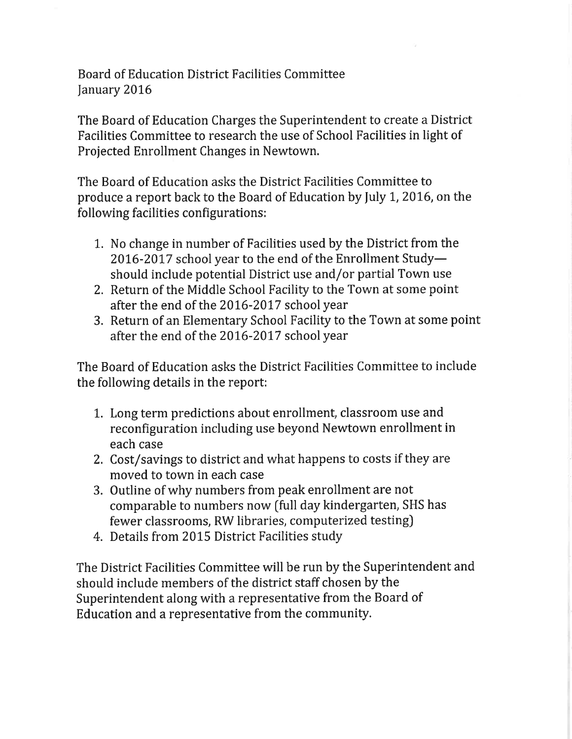**Board of Education District Facilities Committee** January 2016

The Board of Education Charges the Superintendent to create a District Facilities Committee to research the use of School Facilities in light of Projected Enrollment Changes in Newtown.

The Board of Education asks the District Facilities Committee to produce a report back to the Board of Education by July 1, 2016, on the following facilities configurations:

- 1. No change in number of Facilities used by the District from the 2016-2017 school year to the end of the Enrollment Studyshould include potential District use and/or partial Town use
- 2. Return of the Middle School Facility to the Town at some point after the end of the 2016-2017 school year
- 3. Return of an Elementary School Facility to the Town at some point after the end of the 2016-2017 school year

The Board of Education asks the District Facilities Committee to include the following details in the report:

- 1. Long term predictions about enrollment, classroom use and reconfiguration including use beyond Newtown enrollment in each case
- 2. Cost/savings to district and what happens to costs if they are moved to town in each case
- 3. Outline of why numbers from peak enrollment are not comparable to numbers now (full day kindergarten, SHS has fewer classrooms, RW libraries, computerized testing)
- 4. Details from 2015 District Facilities study

The District Facilities Committee will be run by the Superintendent and should include members of the district staff chosen by the Superintendent along with a representative from the Board of Education and a representative from the community.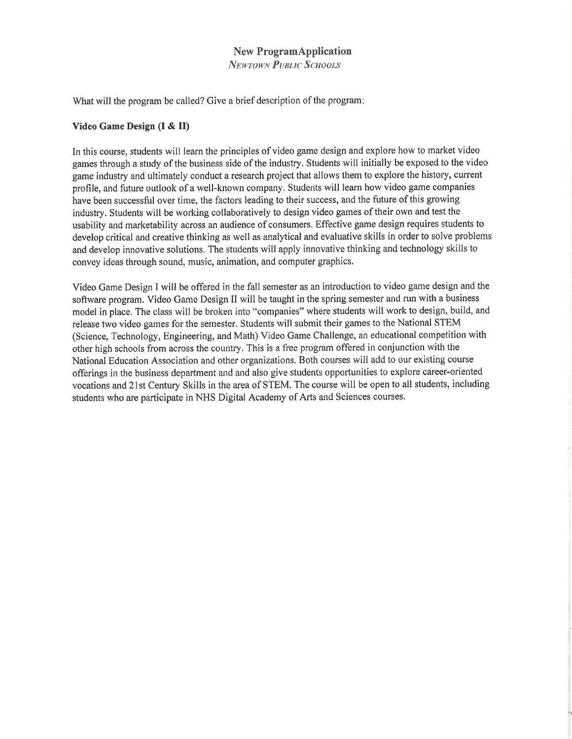## **New ProgramApplication**

**NEWTOWN PUBLIC SCHOOLS** 

What will the program be called? Give a brief description of the program:

### Video Game Design (I & II)

In this course, students will learn the principles of video game design and explore how to market video games through a study of the business side of the industry. Students will initially be exposed to the video game industry and ultimately conduct a research project that allows them to explore the history, current profile, and future outlook of a well-known company. Students will learn how video game companies have been successful over time, the factors leading to their success, and the future of this growing industry. Students will be working collaboratively to design video games of their own and test the usability and marketability across an audience of consumers. Effective game design requires students to develop critical and creative thinking as well as analytical and evaluative skills in order to solve problems and develop innovative solutions. The students will apply innovative thinking and technology skills to convey ideas through sound, music, animation, and computer graphics.

Video Game Design I will be offered in the fall semester as an introduction to video game design and the software program. Video Game Design II will be taught in the spring semester and run with a business model in place. The class will be broken into "companies" where students will work to design, build, and release two video games for the semester. Students will submit their games to the National STEM (Science, Technology, Engineering, and Math) Video Game Challenge, an educational competition with other high schools from across the country. This is a free program offered in conjunction with the National Education Association and other organizations. Both courses will add to our existing course offerings in the business department and and also give students opportunities to explore career-oriented vocations and 21st Century Skills in the area of STEM. The course will be open to all students, including students who are participate in NHS Digital Academy of Arts and Sciences courses.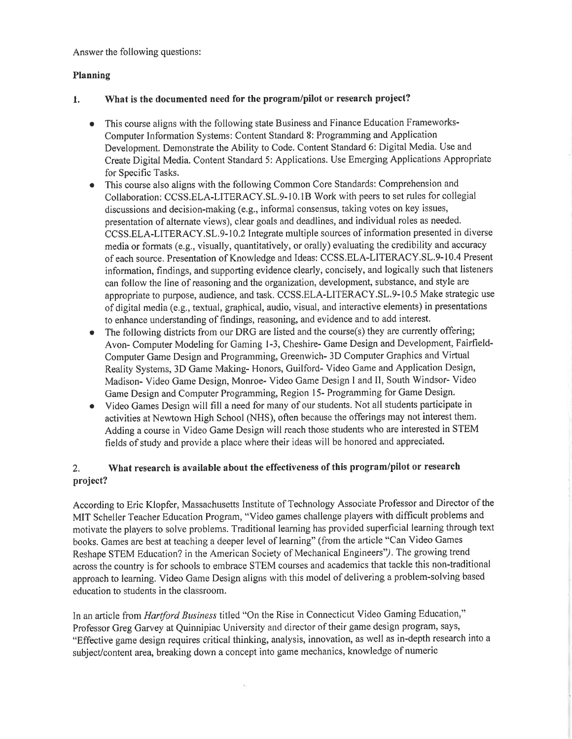Answer the following questions:

## Planning

#### What is the documented need for the program/pilot or research project?  $\mathbf{1}$ .

- This course aligns with the following state Business and Finance Education Frameworks- $\bullet$ Computer Information Systems: Content Standard 8: Programming and Application Development. Demonstrate the Ability to Code. Content Standard 6: Digital Media. Use and Create Digital Media. Content Standard 5: Applications. Use Emerging Applications Appropriate for Specific Tasks.
- This course also aligns with the following Common Core Standards: Comprehension and  $\bullet$ Collaboration: CCSS.ELA-LITERACY.SL.9-10.1B Work with peers to set rules for collegial discussions and decision-making (e.g., informal consensus, taking votes on key issues, presentation of alternate views), clear goals and deadlines, and individual roles as needed. CCSS.ELA-LITERACY.SL.9-10.2 Integrate multiple sources of information presented in diverse media or formats (e.g., visually, quantitatively, or orally) evaluating the credibility and accuracy of each source. Presentation of Knowledge and Ideas: CCSS.ELA-LITERACY.SL.9-10.4 Present information, findings, and supporting evidence clearly, concisely, and logically such that listeners can follow the line of reasoning and the organization, development, substance, and style are appropriate to purpose, audience, and task. CCSS.ELA-LITERACY.SL.9-10.5 Make strategic use of digital media (e.g., textual, graphical, audio, visual, and interactive elements) in presentations to enhance understanding of findings, reasoning, and evidence and to add interest.
- The following districts from our DRG are listed and the course(s) they are currently offering;  $\bullet$ Avon-Computer Modeling for Gaming 1-3, Cheshire-Game Design and Development, Fairfield-Computer Game Design and Programming, Greenwich-3D Computer Graphics and Virtual Reality Systems, 3D Game Making-Honors, Guilford-Video Game and Application Design, Madison- Video Game Design, Monroe- Video Game Design I and II, South Windsor- Video Game Design and Computer Programming, Region 15- Programming for Game Design.
- Video Games Design will fill a need for many of our students. Not all students participate in  $\bullet$ activities at Newtown High School (NHS), often because the offerings may not interest them. Adding a course in Video Game Design will reach those students who are interested in STEM fields of study and provide a place where their ideas will be honored and appreciated.

### What research is available about the effectiveness of this program/pilot or research  $2.$ project?

According to Eric Klopfer, Massachusetts Institute of Technology Associate Professor and Director of the MIT Scheller Teacher Education Program, "Video games challenge players with difficult problems and motivate the players to solve problems. Traditional learning has provided superficial learning through text books. Games are best at teaching a deeper level of learning" (from the article "Can Video Games Reshape STEM Education? in the American Society of Mechanical Engineers"). The growing trend across the country is for schools to embrace STEM courses and academics that tackle this non-traditional approach to learning. Video Game Design aligns with this model of delivering a problem-solving based education to students in the classroom.

In an article from Hartford Business titled "On the Rise in Connecticut Video Gaming Education," Professor Greg Garvey at Quinnipiac University and director of their game design program, says, "Effective game design requires critical thinking, analysis, innovation, as well as in-depth research into a subject/content area, breaking down a concept into game mechanics, knowledge of numeric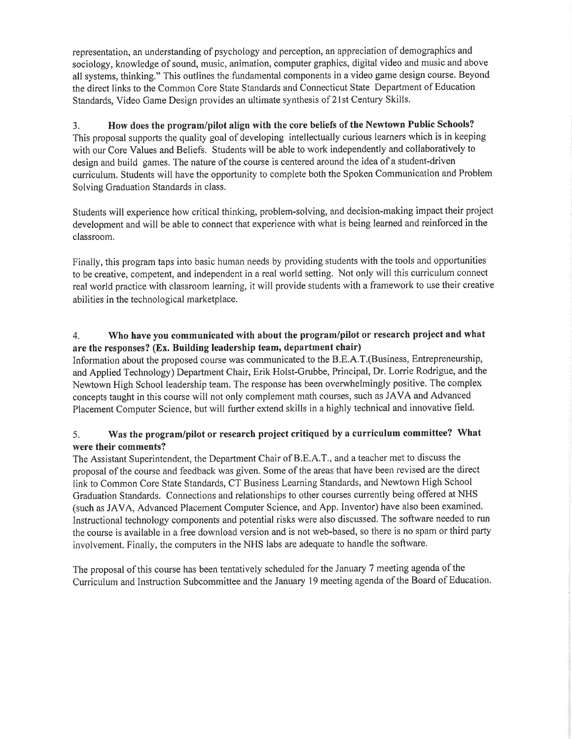representation, an understanding of psychology and perception, an appreciation of demographics and sociology, knowledge of sound, music, animation, computer graphics, digital video and music and above all systems, thinking." This outlines the fundamental components in a video game design course. Beyond the direct links to the Common Core State Standards and Connecticut State Department of Education Standards, Video Game Design provides an ultimate synthesis of 21st Century Skills.

How does the program/pilot align with the core beliefs of the Newtown Public Schools?  $3.$ This proposal supports the quality goal of developing intellectually curious learners which is in keeping with our Core Values and Beliefs. Students will be able to work independently and collaboratively to design and build games. The nature of the course is centered around the idea of a student-driven curriculum. Students will have the opportunity to complete both the Spoken Communication and Problem Solving Graduation Standards in class.

Students will experience how critical thinking, problem-solving, and decision-making impact their project development and will be able to connect that experience with what is being learned and reinforced in the classroom.

Finally, this program taps into basic human needs by providing students with the tools and opportunities to be creative, competent, and independent in a real world setting. Not only will this curriculum connect real world practice with classroom learning, it will provide students with a framework to use their creative abilities in the technological marketplace.

### Who have you communicated with about the program/pilot or research project and what 4. are the responses? (Ex. Building leadership team, department chair)

Information about the proposed course was communicated to the B.E.A.T.(Business, Entrepreneurship, and Applied Technology) Department Chair, Erik Holst-Grubbe, Principal, Dr. Lorrie Rodrigue, and the Newtown High School leadership team. The response has been overwhelmingly positive. The complex concepts taught in this course will not only complement math courses, such as JAVA and Advanced Placement Computer Science, but will further extend skills in a highly technical and innovative field.

### Was the program/pilot or research project critiqued by a curriculum committee? What 5. were their comments?

The Assistant Superintendent, the Department Chair of B.E.A.T., and a teacher met to discuss the proposal of the course and feedback was given. Some of the areas that have been revised are the direct link to Common Core State Standards, CT Business Learning Standards, and Newtown High School Graduation Standards. Connections and relationships to other courses currently being offered at NHS (such as JAVA, Advanced Placement Computer Science, and App. Inventor) have also been examined. Instructional technology components and potential risks were also discussed. The software needed to run the course is available in a free download version and is not web-based, so there is no spam or third party involvement. Finally, the computers in the NHS labs are adequate to handle the software.

The proposal of this course has been tentatively scheduled for the January 7 meeting agenda of the Curriculum and Instruction Subcommittee and the January 19 meeting agenda of the Board of Education.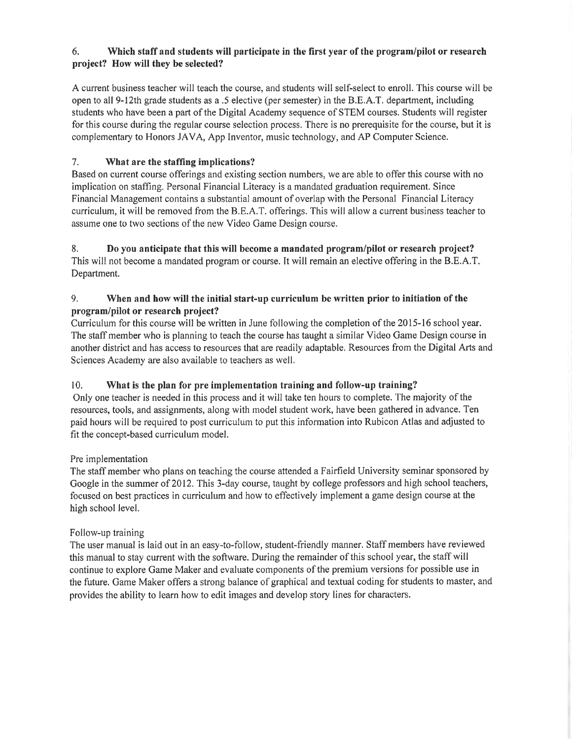### 6. Which staff and students will participate in the first year of the program/pilot or research project? How will they be selected?

A current business teacher will teach the course, and students will self-select to enroll. This course will be open to all 9-12th grade students as a .5 elective (per semester) in the B.E.A.T. department, including students who have been a part of the Digital Academy sequence of STEM courses. Students will register for this course during the regular course selection process. There is no prerequisite for the course, but it is complementary to Honors JAVA, App Inventor, music technology, and AP Computer Science.

#### $7.$ What are the staffing implications?

Based on current course offerings and existing section numbers, we are able to offer this course with no implication on staffing. Personal Financial Literacy is a mandated graduation requirement. Since Financial Management contains a substantial amount of overlap with the Personal Financial Literacy curriculum, it will be removed from the B.E.A.T. offerings. This will allow a current business teacher to assume one to two sections of the new Video Game Design course.

8. Do you anticipate that this will become a mandated program/pilot or research project? This will not become a mandated program or course. It will remain an elective offering in the B.E.A.T. Department.

### 9. When and how will the initial start-up curriculum be written prior to initiation of the program/pilot or research project?

Curriculum for this course will be written in June following the completion of the 2015-16 school year. The staff member who is planning to teach the course has taught a similar Video Game Design course in another district and has access to resources that are readily adaptable. Resources from the Digital Arts and Sciences Academy are also available to teachers as well.

#### $10.$ What is the plan for pre implementation training and follow-up training?

Only one teacher is needed in this process and it will take ten hours to complete. The majority of the resources, tools, and assignments, along with model student work, have been gathered in advance. Ten paid hours will be required to post curriculum to put this information into Rubicon Atlas and adjusted to fit the concept-based curriculum model.

## Pre implementation

The staff member who plans on teaching the course attended a Fairfield University seminar sponsored by Google in the summer of 2012. This 3-day course, taught by college professors and high school teachers, focused on best practices in curriculum and how to effectively implement a game design course at the high school level.

## Follow-up training

The user manual is laid out in an easy-to-follow, student-friendly manner. Staff members have reviewed this manual to stay current with the software. During the remainder of this school year, the staff will continue to explore Game Maker and evaluate components of the premium versions for possible use in the future. Game Maker offers a strong balance of graphical and textual coding for students to master, and provides the ability to learn how to edit images and develop story lines for characters.